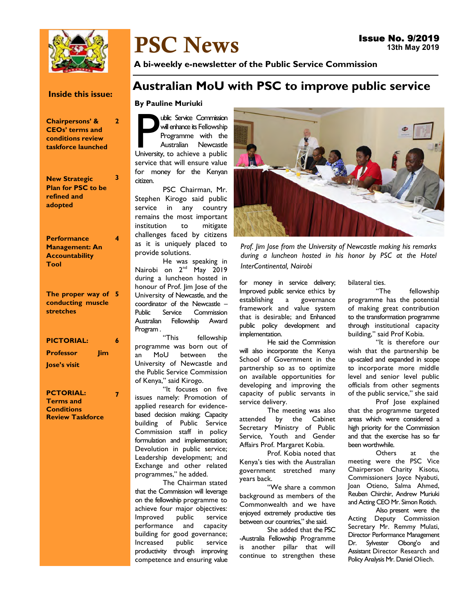

# PSC News

A bi-weekly e-newsletter of the Public Service Commission

### Inside this issue:

2

3

4

7

Chairpersons' & CEOs' terms and conditions review taskforce launched

New Strategic Plan for PSC to be refined and adopted

**Performance** Management: An **Accountability** Tool

The proper way of 5 conducting muscle stretches

| <b>PICTORIAL:</b>   |            | 6 |
|---------------------|------------|---|
| <b>Professor</b>    | <b>Jim</b> |   |
| <b>Jose's visit</b> |            |   |

PCTORIAL: Terms and **Conditions** Review Taskforce

## Australian MoU with PSC to improve public service

### By Pauline Muriuki

University, to achieve a public<br>University, to achieve a public<br>University, to achieve a public ublic Service Commission will enhance its Fellowship Programme with the Australian Newcastle service that will ensure value for money for the Kenyan citizen.

PSC Chairman, Mr. Stephen Kirogo said public service in any country remains the most important institution to mitigate challenges faced by citizens as it is uniquely placed to provide solutions.

He was speaking in Nairobi on 2<sup>nd</sup> May 2019 during a luncheon hosted in honour of Prof. Jim Jose of the University of Newcastle, and the coordinator of the Newcastle – Public Service Commission Australian Fellowship Award Program .

"This fellowship programme was born out of an MoU between the University of Newcastle and the Public Service Commission of Kenya," said Kirogo.

"It focuses on five issues namely: Promotion of applied research for evidencebased decision making; Capacity building of Public Service Commission staff in policy formulation and implementation; Devolution in public service; Leadership development; and Exchange and other related programmes," he added.

The Chairman stated that the Commission will leverage on the fellowship programme to achieve four major objectives: Improved public service performance and capacity building for good governance; Increased public service productivity through improving competence and ensuring value



Prof. Jim Jose from the University of Newcastle making his remarks during a luncheon hosted in his honor by PSC at the Hotel InterContinental, Nairobi

for money in service delivery; Improved public service ethics by establishing a governance framework and value system that is desirable; and Enhanced public policy development and implementation.

He said the Commission will also incorporate the Kenya School of Government in the partnership so as to optimize on available opportunities for developing and improving the capacity of public servants in service delivery.

The meeting was also attended by the Cabinet Secretary Ministry of Public Service, Youth and Gender Affairs Prof. Margaret Kobia.

Prof. Kobia noted that Kenya's ties with the Australian government stretched many years back.

"We share a common background as members of the Commonwealth and we have enjoyed extremely productive ties between our countries," she said.

She added that the PSC -Australia Fellowship Programme is another pillar that will continue to strengthen these

bilateral ties.

"The fellowship programme has the potential of making great contribution to the transformation programme through institutional capacity building," said Prof Kobia.

"It is therefore our wish that the partnership be up-scaled and expanded in scope to incorporate more middle level and senior level public officials from other segments of the public service," she said

Prof Jose explained that the programme targeted areas which were considered a high priority for the Commission and that the exercise has so far been worthwhile.

Others at the meeting were the PSC Vice Chairperson Charity Kisotu, Commissioners Joyce Nyabuti, Joan Otieno, Salma Ahmed, Reuben Chirchir, Andrew Muriuki and Acting CEO Mr. Simon Rotich.

Also present were the Acting Deputy Commission Secretary Mr. Remmy Mulati, Director Performance Management Dr. Sylvester Obong'o and Assistant Director Research and Policy Analysis Mr. Daniel Oliech.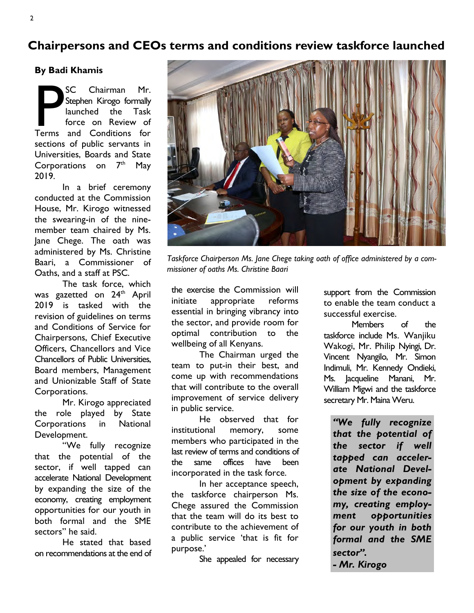### Chairpersons and CEOs terms and conditions review taskforce launched

By Badi Khamis

SC Chairman Mr.<br>Stephen Kirogo formally<br>launched the Task<br>force on Review of<br>Terms and Conditions for SC Chairman Mr. Stephen Kirogo formally launched the Task force on Review of sections of public servants in Universities, Boards and State Corporations on  $7<sup>th</sup>$  May 2019.

In a brief ceremony conducted at the Commission House, Mr. Kirogo witnessed the swearing-in of the ninemember team chaired by Ms. Jane Chege. The oath was administered by Ms. Christine Baari, a Commissioner of Oaths, and a staff at PSC.

The task force, which was gazetted on 24<sup>th</sup> April 2019 is tasked with the revision of guidelines on terms and Conditions of Service for Chairpersons, Chief Executive Officers, Chancellors and Vice Chancellors of Public Universities, Board members, Management and Unionizable Staff of State Corporations.

Mr. Kirogo appreciated the role played by State Corporations in National Development.

"We fully recognize that the potential of the sector, if well tapped can accelerate National Development by expanding the size of the economy, creating employment opportunities for our youth in both formal and the SME sectors" he said.

He stated that based on recommendations at the end of



Taskforce Chairperson Ms. Jane Chege taking oath of office administered by a commissioner of oaths Ms. Christine Baari

the exercise the Commission will initiate appropriate reforms essential in bringing vibrancy into the sector, and provide room for optimal contribution to the wellbeing of all Kenyans.

The Chairman urged the team to put-in their best, and come up with recommendations that will contribute to the overall improvement of service delivery in public service.

He observed that for institutional memory, some members who participated in the last review of terms and conditions of the same offices have been incorporated in the task force.

In her acceptance speech, the taskforce chairperson Ms. Chege assured the Commission that the team will do its best to contribute to the achievement of a public service 'that is fit for purpose.'

She appealed for necessary

support from the Commission to enable the team conduct a successful exercise.

Members of the taskforce include Ms. Wanjiku Wakogi, Mr. Philip Nyingi, Dr. Vincent Nyangilo, Mr. Simon Indimuli, Mr. Kennedy Ondieki, Ms. Jacqueline Manani, Mr. William Migwi and the taskforce secretary Mr. Maina Weru.

"We fully recognize that the potential of the sector if well tapped can accelerate National Development by expanding the size of the economy, creating employment opportunities for our youth in both formal and the SME sector". - Mr. Kirogo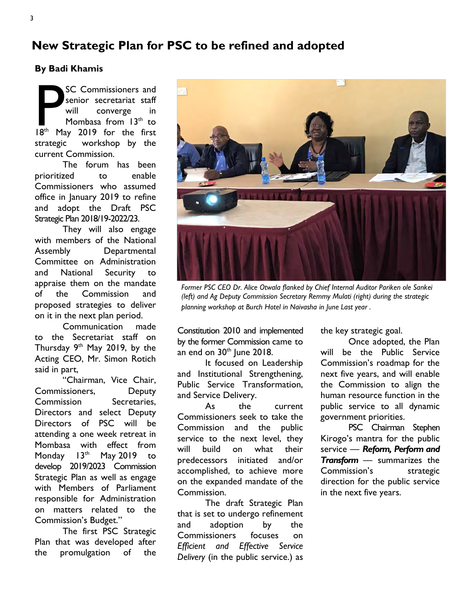### New Strategic Plan for PSC to be refined and adopted

By Badi Khamis

SC Commissioners and<br>
senior secretariat staff<br>
will converge in<br>
Mombasa from 13<sup>th</sup> to<br>
18<sup>th</sup> May 2019 for the first SC Commissioners and senior secretariat staff will converge in Mombasa from  $13<sup>th</sup>$  to strategic workshop by the current Commission.

The forum has been prioritized to enable Commissioners who assumed office in January 2019 to refine and adopt the Draft PSC Strategic Plan 2018/19-2022/23.

They will also engage with members of the National Assembly Departmental Committee on Administration and National Security to appraise them on the mandate of the Commission and proposed strategies to deliver on it in the next plan period.

Communication made to the Secretariat staff on Thursday  $9<sup>th</sup>$  May 2019, by the Acting CEO, Mr. Simon Rotich said in part,

"Chairman, Vice Chair, Commissioners, Deputy Commission Secretaries, Directors and select Deputy Directors of PSC will be attending a one week retreat in Mombasa with effect from Monday  $13<sup>th</sup>$  May 2019 to develop 2019/2023 Commission Strategic Plan as well as engage with Members of Parliament responsible for Administration on matters related to the Commission's Budget."

The first PSC Strategic Plan that was developed after the promulgation of the



Former PSC CEO Dr. Alice Otwala flanked by Chief Internal Auditor Pariken ole Sankei (left) and Ag Deputy Commission Secretary Remmy Mulati (right) during the strategic planning workshop at Burch Hotel in Naivasha in June Last year .

Constitution 2010 and implemented by the former Commission came to an end on  $30<sup>th</sup>$  June 2018.

It focused on Leadership and Institutional Strengthening, Public Service Transformation, and Service Delivery.

As the current Commissioners seek to take the Commission and the public service to the next level, they will build on what their predecessors initiated and/or accomplished, to achieve more on the expanded mandate of the Commission.

The draft Strategic Plan that is set to undergo refinement and adoption by the Commissioners focuses on Efficient and Effective Service Delivery (in the public service.) as the key strategic goal.

Once adopted, the Plan will be the Public Service Commission's roadmap for the next five years, and will enable the Commission to align the human resource function in the public service to all dynamic government priorities.

PSC Chairman Stephen Kirogo's mantra for the public service - Reform, Perform and Transform — summarizes the Commission's strategic direction for the public service in the next five years.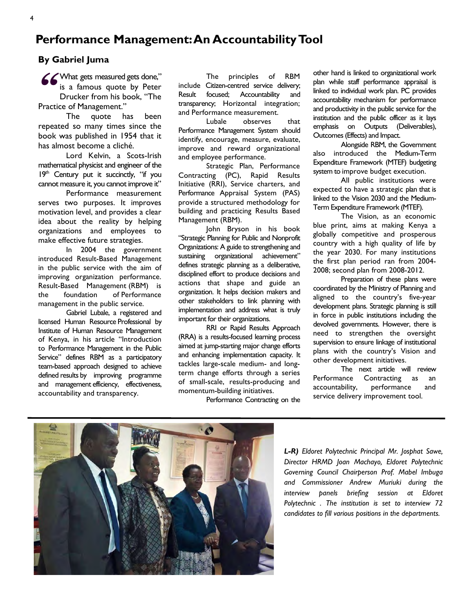### Performance Management: An Accountability Tool

### By Gabriel Juma

**66** What gets measured gets done,"<br>
is a famous quote by Peter<br>
Drucker from his book, "The<br>
Practice of Management" is a famous quote by Peter Drucker from his book, "The Practice of Management."

The quote has been repeated so many times since the book was published in 1954 that it has almost become a cliché.

Lord Kelvin, a Scots-Irish mathematical physicist and engineer of the 19th Century put it succinctly, "if you cannot measure it, you cannot improve it"

Performance measurement serves two purposes. It improves motivation level, and provides a clear idea about the reality by helping organizations and employees to make effective future strategies.

In 2004 the government introduced Result-Based Management in the public service with the aim of improving organization performance. Result-Based Management (RBM) is the foundation of Performance management in the public service.

Gabriel Lubale, a registered and licensed Human Resource Professional by Institute of Human Resource Management of Kenya, in his article "Introduction to Performance Management in the Public Service" defines RBM as a participatory team-based approach designed to achieve defined results by improving programme and management efficiency, effectiveness, accountability and transparency.

The principles of RBM include Citizen-centred service delivery; Result focused; Accountability and transparency; Horizontal integration; and Performance measurement.

Lubale observes that Performance Management System should identify, encourage, measure, evaluate, improve and reward organizational and employee performance.

Strategic Plan, Performance Contracting (PC), Rapid Results Initiative (RRI), Service charters, and Performance Appraisal System (PAS) provide a structured methodology for building and practicing Results Based Management (RBM).

John Bryson in his book "Strategic Planning for Public and Nonprofit Organizations: A guide to strengthening and sustaining organizational achievement" defines strategic planning as a deliberative, disciplined effort to produce decisions and actions that shape and guide an organization. It helps decision makers and other stakeholders to link planning with implementation and address what is truly important for their organizations.

RRI or Rapid Results Approach (RRA) is a results-focused learning process aimed at jump-starting major change efforts and enhancing implementation capacity. It tackles large-scale medium- and longterm change efforts through a series of small-scale, results-producing and momentum-building initiatives.

Performance Contracting on the

other hand is linked to organizational work plan while staff performance appraisal is linked to individual work plan. PC provides accountability mechanism for performance and productivity in the public service for the institution and the public officer as it lays emphasis on Outputs (Deliverables), Outcomes (Effects) and Impact.

Alongside RBM, the Government also introduced the Medium-Term Expenditure Framework (MTEF) budgeting system to improve budget execution.

All public institutions were expected to have a strategic plan that is linked to the Vision 2030 and the Medium-Term Expenditure Framework (MTEF).

The Vision, as an economic blue print, aims at making Kenya a globally competitive and prosperous country with a high quality of life by the year 2030. For many institutions the first plan period ran from 2004- 2008; second plan from 2008-2012.

Preparation of these plans were coordinated by the Ministry of Planning and aligned to the country's five-year development plans. Strategic planning is still in force in public institutions including the devolved governments. However, there is need to strengthen the oversight supervision to ensure linkage of institutional plans with the country's Vision and other development initiatives.

The next article will review Performance Contracting as an accountability, performance and service delivery improvement tool.



L-R) Eldoret Polytechnic Principal Mr. Josphat Sawe, Director HRMD Joan Machayo, Eldoret Polytechnic Governing Council Chairperson Prof. Mabel Imbuga and Commissioner Andrew Muriuki during the interview panels briefing session at Eldoret Polytechnic . The institution is set to interview 72 candidates to fill various positions in the departments.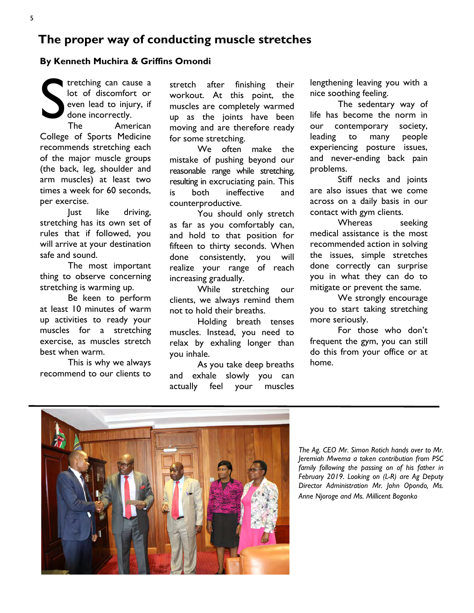### The proper way of conducting muscle stretches

#### By Kenneth Muchira & Griffins Omondi

S tretching can cause a lot of discomfort or even lead to injury, if done incorrectly.

The American College of Sports Medicine recommends stretching each of the major muscle groups (the back, leg, shoulder and arm muscles) at least two times a week for 60 seconds, per exercise.

Just like driving, stretching has its own set of rules that if followed, you will arrive at your destination safe and sound.

The most important thing to observe concerning stretching is warming up.

Be keen to perform at least 10 minutes of warm up activities to ready your muscles for a stretching exercise, as muscles stretch best when warm.

This is why we always recommend to our clients to

stretch after finishing their workout. At this point, the muscles are completely warmed up as the joints have been moving and are therefore ready for some stretching.

We often make the mistake of pushing beyond our reasonable range while stretching, resulting in excruciating pain. This is both ineffective and counterproductive.

You should only stretch as far as you comfortably can, and hold to that position for fifteen to thirty seconds. When done consistently, you will realize your range of reach increasing gradually.

While stretching our clients, we always remind them not to hold their breaths.

Holding breath tenses muscles. Instead, you need to relax by exhaling longer than you inhale.

As you take deep breaths and exhale slowly you can actually feel your muscles

lengthening leaving you with a nice soothing feeling.

The sedentary way of life has become the norm in our contemporary society, leading to many people experiencing posture issues, and never-ending back pain problems.

Stiff necks and joints are also issues that we come across on a daily basis in our contact with gym clients.

Whereas seeking medical assistance is the most recommended action in solving the issues, simple stretches done correctly can surprise you in what they can do to mitigate or prevent the same.

We strongly encourage you to start taking stretching more seriously.

For those who don't frequent the gym, you can still do this from your office or at home.



The Ag. CEO Mr. Simon Rotich hands over to Mr. Jeremiah Mwema a token contribution from PSC family following the passing on of his father in February 2019. Looking on (L-R) are Ag Deputy Director Administration Mr. John Opondo, Ms. Anne Njoroge and Ms. Millicent Bogonko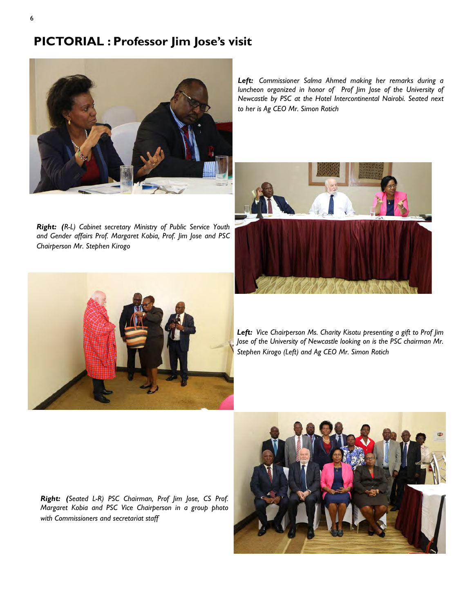### PICTORIAL : Professor Jim Jose's visit



Right: (R-L) Cabinet secretary Ministry of Public Service Youth and Gender affairs Prof. Margaret Kobia, Prof. Jim Jose and PSC Chairperson Mr. Stephen Kirogo

Left: Commissioner Salma Ahmed making her remarks during a luncheon organized in honor of Prof Jim Jose of the University of Newcastle by PSC at the Hotel Intercontinental Nairobi. Seated next to her is Ag CEO Mr. Simon Rotich





Left: Vice Chairperson Ms. Charity Kisotu presenting a gift to Prof Jim Jose of the University of Newcastle looking on is the PSC chairman Mr. Stephen Kirogo (Left) and Ag CEO Mr. Simon Rotich

Right: (Seated L-R) PSC Chairman, Prof Jim Jose, CS Prof. Margaret Kobia and PSC Vice Chairperson in a group photo with Commissioners and secretariat staff

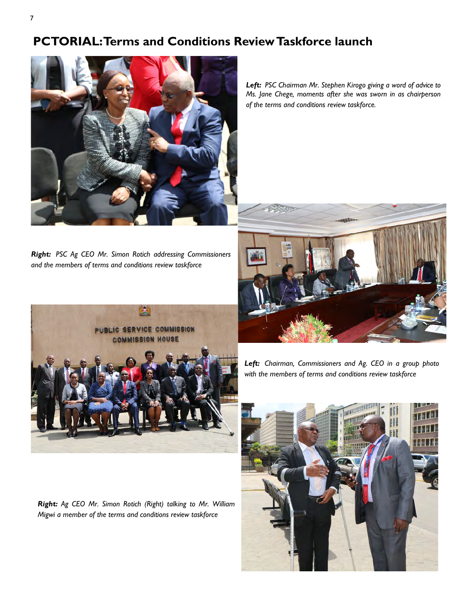### PCTORIAL: Terms and Conditions Review Taskforce launch



Left: PSC Chairman Mr. Stephen Kirogo giving a word of advice to Ms. Jane Chege, moments after she was sworn in as chairperson of the terms and conditions review taskforce.

Right: PSC Ag CEO Mr. Simon Rotich addressing Commissioners and the members of terms and conditions review taskforce



Right: Ag CEO Mr. Simon Rotich (Right) talking to Mr. William Migwi a member of the terms and conditions review taskforce



Left: Chairman, Commissioners and Ag. CEO in a group photo with the members of terms and conditions review taskforce